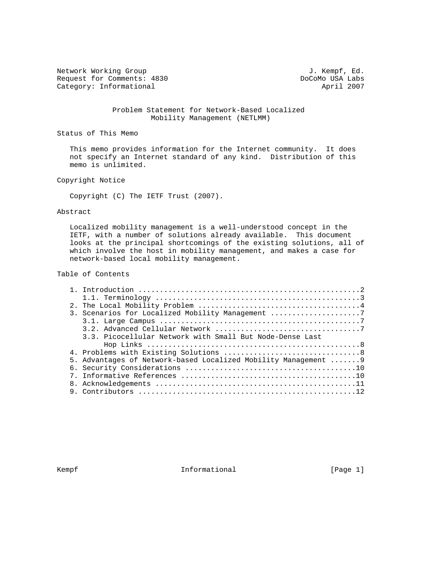Network Working Group 3. Network Working Group 3. Kempf, Ed. Request for Comments: 4830 DoCoMo USA Labs<br>
Category: Informational April 2007 Category: Informational

 Problem Statement for Network-Based Localized Mobility Management (NETLMM)

Status of This Memo

 This memo provides information for the Internet community. It does not specify an Internet standard of any kind. Distribution of this memo is unlimited.

### Copyright Notice

Copyright (C) The IETF Trust (2007).

### Abstract

 Localized mobility management is a well-understood concept in the IETF, with a number of solutions already available. This document looks at the principal shortcomings of the existing solutions, all of which involve the host in mobility management, and makes a case for network-based local mobility management.

# Table of Contents

|  | 3. Scenarios for Localized Mobility Management 7                |
|--|-----------------------------------------------------------------|
|  |                                                                 |
|  |                                                                 |
|  | 3.3. Picocellular Network with Small But Node-Dense Last        |
|  |                                                                 |
|  |                                                                 |
|  | 5. Advantages of Network-based Localized Mobility Management  9 |
|  |                                                                 |
|  |                                                                 |
|  |                                                                 |
|  |                                                                 |

Kempf **Informational Informational** [Page 1]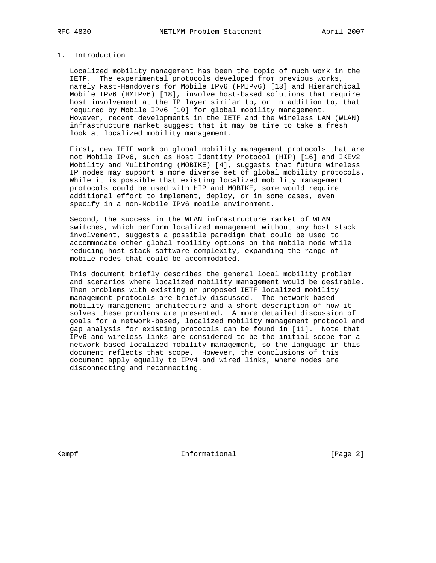## 1. Introduction

 Localized mobility management has been the topic of much work in the IETF. The experimental protocols developed from previous works, namely Fast-Handovers for Mobile IPv6 (FMIPv6) [13] and Hierarchical Mobile IPv6 (HMIPv6) [18], involve host-based solutions that require host involvement at the IP layer similar to, or in addition to, that required by Mobile IPv6 [10] for global mobility management. However, recent developments in the IETF and the Wireless LAN (WLAN) infrastructure market suggest that it may be time to take a fresh look at localized mobility management.

 First, new IETF work on global mobility management protocols that are not Mobile IPv6, such as Host Identity Protocol (HIP) [16] and IKEv2 Mobility and Multihoming (MOBIKE) [4], suggests that future wireless IP nodes may support a more diverse set of global mobility protocols. While it is possible that existing localized mobility management protocols could be used with HIP and MOBIKE, some would require additional effort to implement, deploy, or in some cases, even specify in a non-Mobile IPv6 mobile environment.

 Second, the success in the WLAN infrastructure market of WLAN switches, which perform localized management without any host stack involvement, suggests a possible paradigm that could be used to accommodate other global mobility options on the mobile node while reducing host stack software complexity, expanding the range of mobile nodes that could be accommodated.

 This document briefly describes the general local mobility problem and scenarios where localized mobility management would be desirable. Then problems with existing or proposed IETF localized mobility management protocols are briefly discussed. The network-based mobility management architecture and a short description of how it solves these problems are presented. A more detailed discussion of goals for a network-based, localized mobility management protocol and gap analysis for existing protocols can be found in [11]. Note that IPv6 and wireless links are considered to be the initial scope for a network-based localized mobility management, so the language in this document reflects that scope. However, the conclusions of this document apply equally to IPv4 and wired links, where nodes are disconnecting and reconnecting.

Kempf **Informational Informational** [Page 2]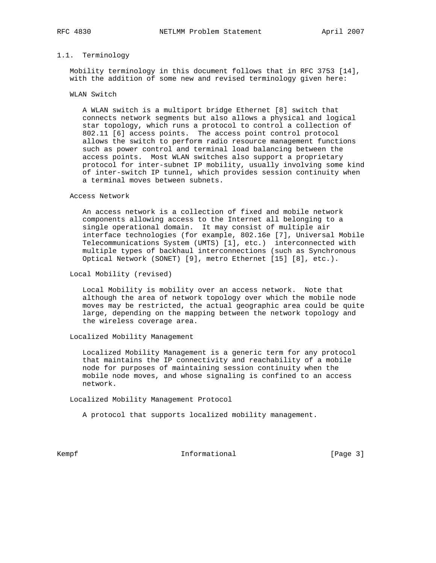### 1.1. Terminology

 Mobility terminology in this document follows that in RFC 3753 [14], with the addition of some new and revised terminology given here:

### WLAN Switch

 A WLAN switch is a multiport bridge Ethernet [8] switch that connects network segments but also allows a physical and logical star topology, which runs a protocol to control a collection of 802.11 [6] access points. The access point control protocol allows the switch to perform radio resource management functions such as power control and terminal load balancing between the access points. Most WLAN switches also support a proprietary protocol for inter-subnet IP mobility, usually involving some kind of inter-switch IP tunnel, which provides session continuity when a terminal moves between subnets.

#### Access Network

 An access network is a collection of fixed and mobile network components allowing access to the Internet all belonging to a single operational domain. It may consist of multiple air interface technologies (for example, 802.16e [7], Universal Mobile Telecommunications System (UMTS) [1], etc.) interconnected with multiple types of backhaul interconnections (such as Synchronous Optical Network (SONET) [9], metro Ethernet [15] [8], etc.).

Local Mobility (revised)

 Local Mobility is mobility over an access network. Note that although the area of network topology over which the mobile node moves may be restricted, the actual geographic area could be quite large, depending on the mapping between the network topology and the wireless coverage area.

Localized Mobility Management

 Localized Mobility Management is a generic term for any protocol that maintains the IP connectivity and reachability of a mobile node for purposes of maintaining session continuity when the mobile node moves, and whose signaling is confined to an access network.

Localized Mobility Management Protocol

A protocol that supports localized mobility management.

Kempf **Informational Informational Informational** [Page 3]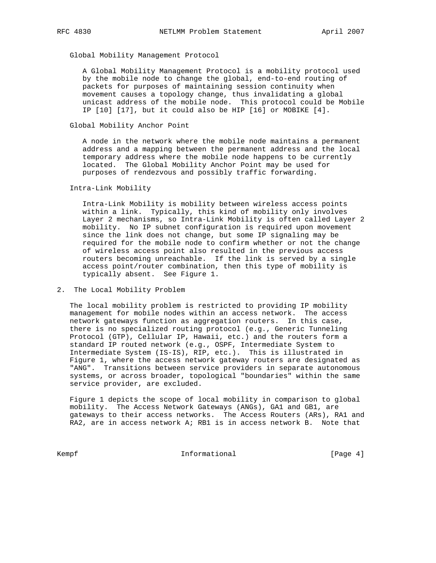Global Mobility Management Protocol

 A Global Mobility Management Protocol is a mobility protocol used by the mobile node to change the global, end-to-end routing of packets for purposes of maintaining session continuity when movement causes a topology change, thus invalidating a global unicast address of the mobile node. This protocol could be Mobile IP [10] [17], but it could also be HIP [16] or MOBIKE [4].

Global Mobility Anchor Point

 A node in the network where the mobile node maintains a permanent address and a mapping between the permanent address and the local temporary address where the mobile node happens to be currently located. The Global Mobility Anchor Point may be used for purposes of rendezvous and possibly traffic forwarding.

Intra-Link Mobility

 Intra-Link Mobility is mobility between wireless access points within a link. Typically, this kind of mobility only involves Layer 2 mechanisms, so Intra-Link Mobility is often called Layer 2 mobility. No IP subnet configuration is required upon movement since the link does not change, but some IP signaling may be required for the mobile node to confirm whether or not the change of wireless access point also resulted in the previous access routers becoming unreachable. If the link is served by a single access point/router combination, then this type of mobility is typically absent. See Figure 1.

2. The Local Mobility Problem

 The local mobility problem is restricted to providing IP mobility management for mobile nodes within an access network. The access network gateways function as aggregation routers. In this case, there is no specialized routing protocol (e.g., Generic Tunneling Protocol (GTP), Cellular IP, Hawaii, etc.) and the routers form a standard IP routed network (e.g., OSPF, Intermediate System to Intermediate System (IS-IS), RIP, etc.). This is illustrated in Figure 1, where the access network gateway routers are designated as "ANG". Transitions between service providers in separate autonomous systems, or across broader, topological "boundaries" within the same service provider, are excluded.

 Figure 1 depicts the scope of local mobility in comparison to global mobility. The Access Network Gateways (ANGs), GA1 and GB1, are gateways to their access networks. The Access Routers (ARs), RA1 and RA2, are in access network A; RB1 is in access network B. Note that

Kempf **Informational Informational** [Page 4]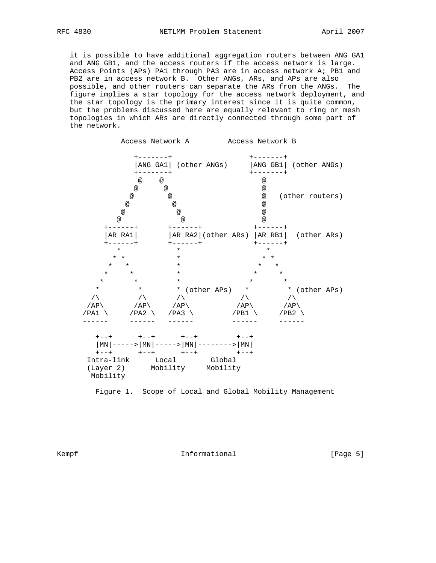it is possible to have additional aggregation routers between ANG GA1 and ANG GB1, and the access routers if the access network is large. Access Points (APs) PA1 through PA3 are in access network A; PB1 and PB2 are in access network B. Other ANGs, ARs, and APs are also possible, and other routers can separate the ARs from the ANGs. The figure implies a star topology for the access network deployment, and the star topology is the primary interest since it is quite common, but the problems discussed here are equally relevant to ring or mesh topologies in which ARs are directly connected through some part of the network.



Figure 1. Scope of Local and Global Mobility Management

Kempf **Informational Informational** [Page 5]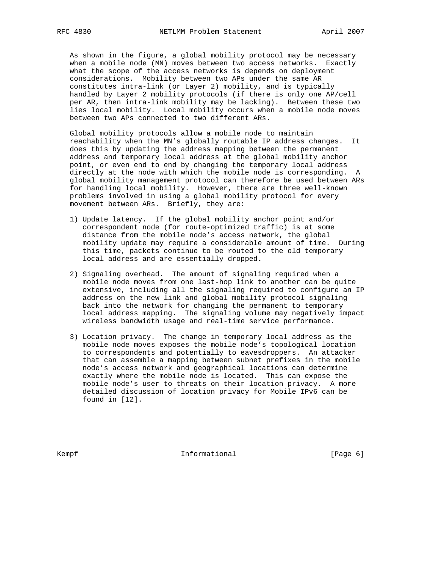As shown in the figure, a global mobility protocol may be necessary when a mobile node (MN) moves between two access networks. Exactly what the scope of the access networks is depends on deployment considerations. Mobility between two APs under the same AR constitutes intra-link (or Layer 2) mobility, and is typically handled by Layer 2 mobility protocols (if there is only one AP/cell per AR, then intra-link mobility may be lacking). Between these two lies local mobility. Local mobility occurs when a mobile node moves between two APs connected to two different ARs.

 Global mobility protocols allow a mobile node to maintain reachability when the MN's globally routable IP address changes. It does this by updating the address mapping between the permanent address and temporary local address at the global mobility anchor point, or even end to end by changing the temporary local address directly at the node with which the mobile node is corresponding. A global mobility management protocol can therefore be used between ARs for handling local mobility. However, there are three well-known problems involved in using a global mobility protocol for every movement between ARs. Briefly, they are:

- 1) Update latency. If the global mobility anchor point and/or correspondent node (for route-optimized traffic) is at some distance from the mobile node's access network, the global mobility update may require a considerable amount of time. During this time, packets continue to be routed to the old temporary local address and are essentially dropped.
- 2) Signaling overhead. The amount of signaling required when a mobile node moves from one last-hop link to another can be quite extensive, including all the signaling required to configure an IP address on the new link and global mobility protocol signaling back into the network for changing the permanent to temporary local address mapping. The signaling volume may negatively impact wireless bandwidth usage and real-time service performance.
- 3) Location privacy. The change in temporary local address as the mobile node moves exposes the mobile node's topological location to correspondents and potentially to eavesdroppers. An attacker that can assemble a mapping between subnet prefixes in the mobile node's access network and geographical locations can determine exactly where the mobile node is located. This can expose the mobile node's user to threats on their location privacy. A more detailed discussion of location privacy for Mobile IPv6 can be found in [12].

Kempf **Informational Informational** [Page 6]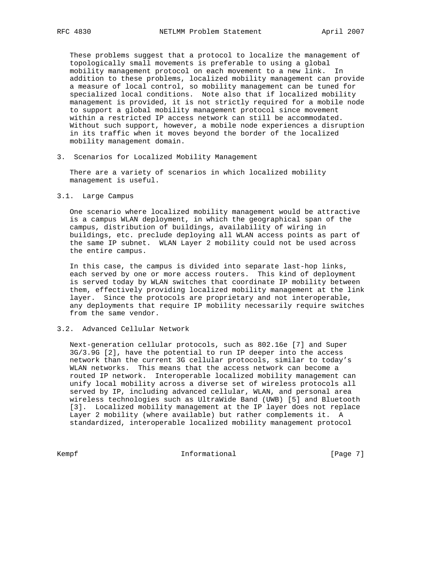These problems suggest that a protocol to localize the management of topologically small movements is preferable to using a global mobility management protocol on each movement to a new link. In addition to these problems, localized mobility management can provide a measure of local control, so mobility management can be tuned for specialized local conditions. Note also that if localized mobility management is provided, it is not strictly required for a mobile node to support a global mobility management protocol since movement within a restricted IP access network can still be accommodated. Without such support, however, a mobile node experiences a disruption in its traffic when it moves beyond the border of the localized mobility management domain.

3. Scenarios for Localized Mobility Management

 There are a variety of scenarios in which localized mobility management is useful.

#### 3.1. Large Campus

 One scenario where localized mobility management would be attractive is a campus WLAN deployment, in which the geographical span of the campus, distribution of buildings, availability of wiring in buildings, etc. preclude deploying all WLAN access points as part of the same IP subnet. WLAN Layer 2 mobility could not be used across the entire campus.

 In this case, the campus is divided into separate last-hop links, each served by one or more access routers. This kind of deployment is served today by WLAN switches that coordinate IP mobility between them, effectively providing localized mobility management at the link layer. Since the protocols are proprietary and not interoperable, any deployments that require IP mobility necessarily require switches from the same vendor.

## 3.2. Advanced Cellular Network

 Next-generation cellular protocols, such as 802.16e [7] and Super 3G/3.9G [2], have the potential to run IP deeper into the access network than the current 3G cellular protocols, similar to today's WLAN networks. This means that the access network can become a routed IP network. Interoperable localized mobility management can unify local mobility across a diverse set of wireless protocols all served by IP, including advanced cellular, WLAN, and personal area wireless technologies such as UltraWide Band (UWB) [5] and Bluetooth [3]. Localized mobility management at the IP layer does not replace Layer 2 mobility (where available) but rather complements it. A standardized, interoperable localized mobility management protocol

Kempf **Informational Informational** [Page 7]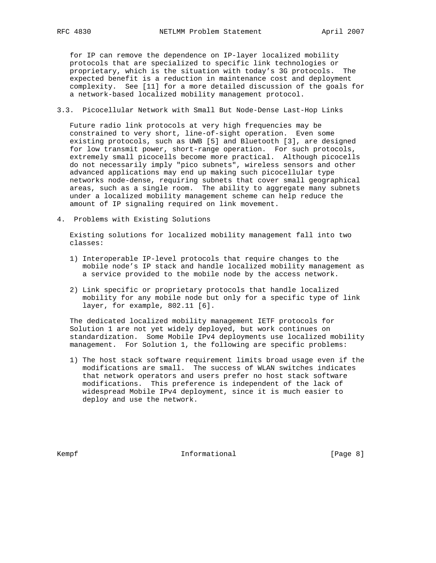for IP can remove the dependence on IP-layer localized mobility protocols that are specialized to specific link technologies or proprietary, which is the situation with today's 3G protocols. The expected benefit is a reduction in maintenance cost and deployment complexity. See [11] for a more detailed discussion of the goals for a network-based localized mobility management protocol.

3.3. Picocellular Network with Small But Node-Dense Last-Hop Links

 Future radio link protocols at very high frequencies may be constrained to very short, line-of-sight operation. Even some existing protocols, such as UWB [5] and Bluetooth [3], are designed for low transmit power, short-range operation. For such protocols, extremely small picocells become more practical. Although picocells do not necessarily imply "pico subnets", wireless sensors and other advanced applications may end up making such picocellular type networks node-dense, requiring subnets that cover small geographical areas, such as a single room. The ability to aggregate many subnets under a localized mobility management scheme can help reduce the amount of IP signaling required on link movement.

4. Problems with Existing Solutions

 Existing solutions for localized mobility management fall into two classes:

- 1) Interoperable IP-level protocols that require changes to the mobile node's IP stack and handle localized mobility management as a service provided to the mobile node by the access network.
- 2) Link specific or proprietary protocols that handle localized mobility for any mobile node but only for a specific type of link layer, for example, 802.11 [6].

 The dedicated localized mobility management IETF protocols for Solution 1 are not yet widely deployed, but work continues on standardization. Some Mobile IPv4 deployments use localized mobility management. For Solution 1, the following are specific problems:

 1) The host stack software requirement limits broad usage even if the modifications are small. The success of WLAN switches indicates that network operators and users prefer no host stack software modifications. This preference is independent of the lack of widespread Mobile IPv4 deployment, since it is much easier to deploy and use the network.

Kempf **Informational Informational** [Page 8]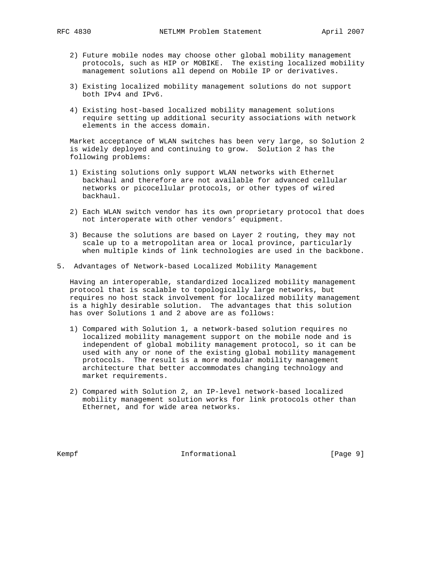- 2) Future mobile nodes may choose other global mobility management protocols, such as HIP or MOBIKE. The existing localized mobility management solutions all depend on Mobile IP or derivatives.
- 3) Existing localized mobility management solutions do not support both IPv4 and IPv6.
- 4) Existing host-based localized mobility management solutions require setting up additional security associations with network elements in the access domain.

 Market acceptance of WLAN switches has been very large, so Solution 2 is widely deployed and continuing to grow. Solution 2 has the following problems:

- 1) Existing solutions only support WLAN networks with Ethernet backhaul and therefore are not available for advanced cellular networks or picocellular protocols, or other types of wired backhaul.
- 2) Each WLAN switch vendor has its own proprietary protocol that does not interoperate with other vendors' equipment.
- 3) Because the solutions are based on Layer 2 routing, they may not scale up to a metropolitan area or local province, particularly when multiple kinds of link technologies are used in the backbone.
- 5. Advantages of Network-based Localized Mobility Management

 Having an interoperable, standardized localized mobility management protocol that is scalable to topologically large networks, but requires no host stack involvement for localized mobility management is a highly desirable solution. The advantages that this solution has over Solutions 1 and 2 above are as follows:

- 1) Compared with Solution 1, a network-based solution requires no localized mobility management support on the mobile node and is independent of global mobility management protocol, so it can be used with any or none of the existing global mobility management protocols. The result is a more modular mobility management architecture that better accommodates changing technology and market requirements.
- 2) Compared with Solution 2, an IP-level network-based localized mobility management solution works for link protocols other than Ethernet, and for wide area networks.

Kempf **Informational Informational** [Page 9]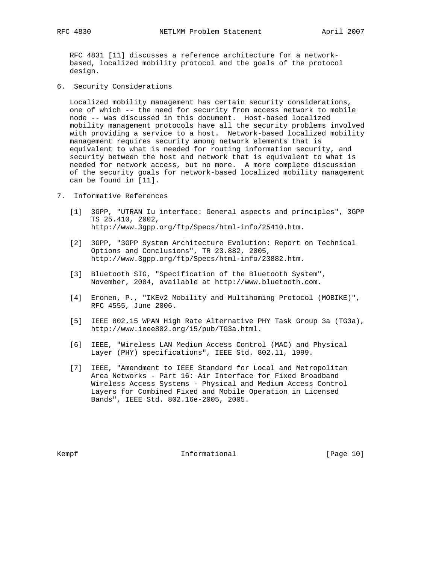RFC 4831 [11] discusses a reference architecture for a network based, localized mobility protocol and the goals of the protocol design.

6. Security Considerations

 Localized mobility management has certain security considerations, one of which -- the need for security from access network to mobile node -- was discussed in this document. Host-based localized mobility management protocols have all the security problems involved with providing a service to a host. Network-based localized mobility management requires security among network elements that is equivalent to what is needed for routing information security, and security between the host and network that is equivalent to what is needed for network access, but no more. A more complete discussion of the security goals for network-based localized mobility management can be found in [11].

- 7. Informative References
	- [1] 3GPP, "UTRAN Iu interface: General aspects and principles", 3GPP TS 25.410, 2002, http://www.3gpp.org/ftp/Specs/html-info/25410.htm.
	- [2] 3GPP, "3GPP System Architecture Evolution: Report on Technical Options and Conclusions", TR 23.882, 2005, http://www.3gpp.org/ftp/Specs/html-info/23882.htm.
	- [3] Bluetooth SIG, "Specification of the Bluetooth System", November, 2004, available at http://www.bluetooth.com.
	- [4] Eronen, P., "IKEv2 Mobility and Multihoming Protocol (MOBIKE)", RFC 4555, June 2006.
	- [5] IEEE 802.15 WPAN High Rate Alternative PHY Task Group 3a (TG3a), http://www.ieee802.org/15/pub/TG3a.html.
	- [6] IEEE, "Wireless LAN Medium Access Control (MAC) and Physical Layer (PHY) specifications", IEEE Std. 802.11, 1999.
	- [7] IEEE, "Amendment to IEEE Standard for Local and Metropolitan Area Networks - Part 16: Air Interface for Fixed Broadband Wireless Access Systems - Physical and Medium Access Control Layers for Combined Fixed and Mobile Operation in Licensed Bands", IEEE Std. 802.16e-2005, 2005.

Kempf **Informational Informational** [Page 10]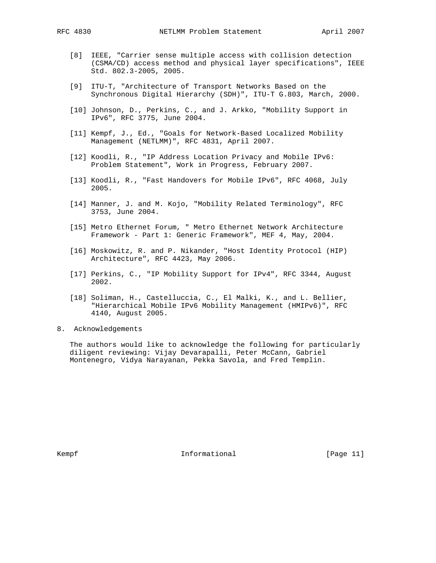- [8] IEEE, "Carrier sense multiple access with collision detection (CSMA/CD) access method and physical layer specifications", IEEE Std. 802.3-2005, 2005.
- [9] ITU-T, "Architecture of Transport Networks Based on the Synchronous Digital Hierarchy (SDH)", ITU-T G.803, March, 2000.
- [10] Johnson, D., Perkins, C., and J. Arkko, "Mobility Support in IPv6", RFC 3775, June 2004.
- [11] Kempf, J., Ed., "Goals for Network-Based Localized Mobility Management (NETLMM)", RFC 4831, April 2007.
- [12] Koodli, R., "IP Address Location Privacy and Mobile IPv6: Problem Statement", Work in Progress, February 2007.
- [13] Koodli, R., "Fast Handovers for Mobile IPv6", RFC 4068, July 2005.
- [14] Manner, J. and M. Kojo, "Mobility Related Terminology", RFC 3753, June 2004.
- [15] Metro Ethernet Forum, " Metro Ethernet Network Architecture Framework - Part 1: Generic Framework", MEF 4, May, 2004.
- [16] Moskowitz, R. and P. Nikander, "Host Identity Protocol (HIP) Architecture", RFC 4423, May 2006.
- [17] Perkins, C., "IP Mobility Support for IPv4", RFC 3344, August 2002.
- [18] Soliman, H., Castelluccia, C., El Malki, K., and L. Bellier, "Hierarchical Mobile IPv6 Mobility Management (HMIPv6)", RFC 4140, August 2005.
- 8. Acknowledgements

 The authors would like to acknowledge the following for particularly diligent reviewing: Vijay Devarapalli, Peter McCann, Gabriel Montenegro, Vidya Narayanan, Pekka Savola, and Fred Templin.

Kempf **Informational Informational** [Page 11]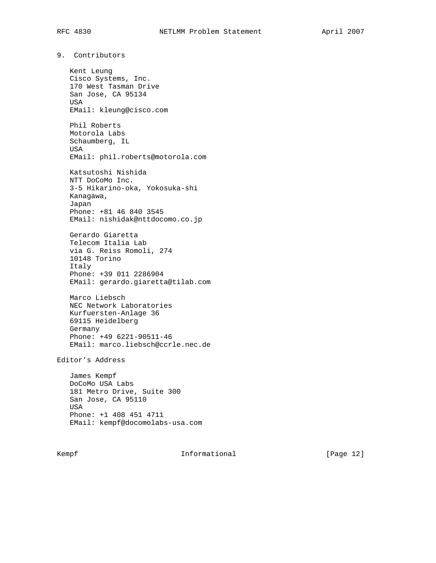9. Contributors

 Kent Leung Cisco Systems, Inc. 170 West Tasman Drive San Jose, CA 95134 USA EMail: kleung@cisco.com Phil Roberts Motorola Labs Schaumberg, IL USA EMail: phil.roberts@motorola.com Katsutoshi Nishida NTT DoCoMo Inc. 3-5 Hikarino-oka, Yokosuka-shi Kanagawa, Japan Phone: +81 46 840 3545 EMail: nishidak@nttdocomo.co.jp Gerardo Giaretta Telecom Italia Lab via G. Reiss Romoli, 274 10148 Torino Italy Phone: +39 011 2286904 EMail: gerardo.giaretta@tilab.com Marco Liebsch NEC Network Laboratories Kurfuersten-Anlage 36 69115 Heidelberg Germany Phone: +49 6221-90511-46 EMail: marco.liebsch@ccrle.nec.de Editor's Address James Kempf

 DoCoMo USA Labs 181 Metro Drive, Suite 300 San Jose, CA 95110 USA Phone: +1 408 451 4711 EMail: kempf@docomolabs-usa.com

Kempf **Informational Informational** [Page 12]